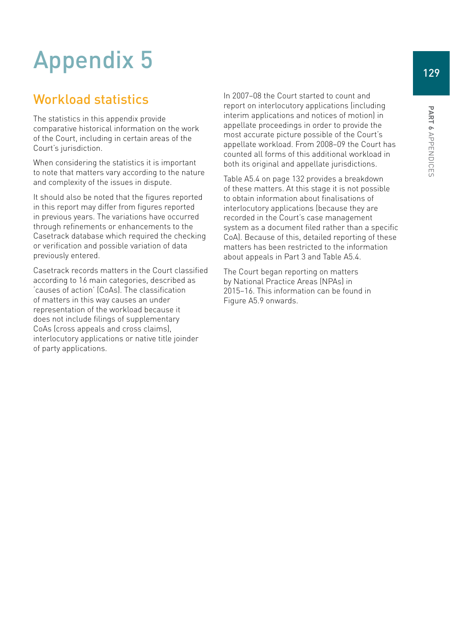# Appendix 5

# Workload statistics

The statistics in this appendix provide comparative historical information on the work of the Court, including in certain areas of the Court's jurisdiction.

When considering the statistics it is important to note that matters vary according to the nature and complexity of the issues in dispute.

It should also be noted that the figures reported in this report may differ from figures reported in previous years. The variations have occurred through refinements or enhancements to the Casetrack database which required the checking or verification and possible variation of data previously entered.

Casetrack records matters in the Court classified according to 16 main categories, described as 'causes of action' (CoAs). The classification of matters in this way causes an under representation of the workload because it does not include filings of supplementary CoAs (cross appeals and cross claims), interlocutory applications or native title joinder of party applications.

In 2007–08 the Court started to count and report on interlocutory applications (including interim applications and notices of motion) in appellate proceedings in order to provide the most accurate picture possible of the Court's appellate workload. From 2008–09 the Court has counted all forms of this additional workload in both its original and appellate jurisdictions.

Table A5.4 on page 132 provides a breakdown of these matters. At this stage it is not possible to obtain information about finalisations of interlocutory applications (because they are recorded in the Court's case management system as a document filed rather than a specific CoA). Because of this, detailed reporting of these matters has been restricted to the information about appeals in Part 3 and Table A5.4.

The Court began reporting on matters by National Practice Areas (NPAs) in 2015–16. This information can be found in Figure A5.9 onwards.

Appendices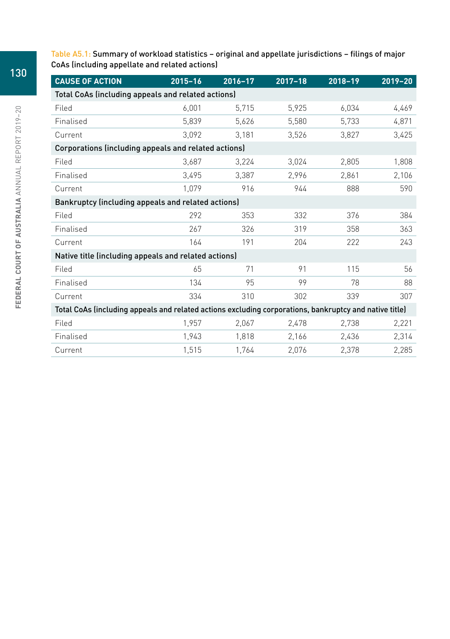Table A5.1: Summary of workload statistics – original and appellate jurisdictions – filings of major CoAs (including appellate and related actions)

| <b>CAUSE OF ACTION</b>                                                                                 | $2015 - 16$ | 2016-17 | $2017 - 18$ | 2018-19 | $2019 - 20$ |  |  |  |
|--------------------------------------------------------------------------------------------------------|-------------|---------|-------------|---------|-------------|--|--|--|
| Total CoAs (including appeals and related actions)                                                     |             |         |             |         |             |  |  |  |
| Filed                                                                                                  | 6,001       | 5,715   | 5,925       | 6,034   | 4,469       |  |  |  |
| Finalised                                                                                              | 5.839       | 5,626   | 5,580       | 5,733   | 4,871       |  |  |  |
| Current                                                                                                | 3,092       | 3.181   | 3,526       | 3,827   | 3,425       |  |  |  |
| Corporations (including appeals and related actions)                                                   |             |         |             |         |             |  |  |  |
| Filed                                                                                                  | 3,687       | 3,224   | 3,024       | 2,805   | 1,808       |  |  |  |
| Finalised                                                                                              | 3.495       | 3.387   | 2.996       | 2,861   | 2,106       |  |  |  |
| Current                                                                                                | 1.079       | 916     | 944         | 888     | 590         |  |  |  |
| Bankruptcy (including appeals and related actions)                                                     |             |         |             |         |             |  |  |  |
| Filed                                                                                                  | 292         | 353     | 332         | 376     | 384         |  |  |  |
| Finalised                                                                                              | 267         | 326     | 319         | 358     | 363         |  |  |  |
| Current                                                                                                | 164         | 191     | 204         | 222     | 243         |  |  |  |
| Native title (including appeals and related actions)                                                   |             |         |             |         |             |  |  |  |
| Filed                                                                                                  | 65          | 71      | 91          | 115     | 56          |  |  |  |
| Finalised                                                                                              | 134         | 95      | 99          | 78      | 88          |  |  |  |
| Current                                                                                                | 334         | 310     | 302         | 339     | 307         |  |  |  |
| Total CoAs (including appeals and related actions excluding corporations, bankruptcy and native title) |             |         |             |         |             |  |  |  |
| Filed                                                                                                  | 1,957       | 2,067   | 2,478       | 2,738   | 2,221       |  |  |  |
| Finalised                                                                                              | 1,943       | 1,818   | 2,166       | 2.436   | 2,314       |  |  |  |
| Current                                                                                                | 1,515       | 1,764   | 2,076       | 2,378   | 2,285       |  |  |  |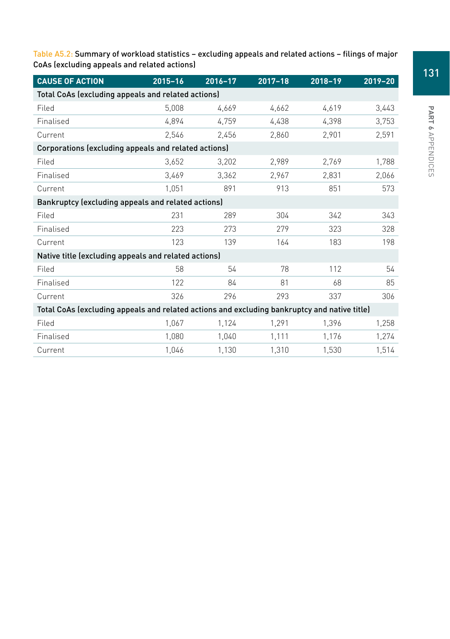Table A5.2: Summary of workload statistics – excluding appeals and related actions – filings of major CoAs (excluding appeals and related actions)

| <b>CAUSE OF ACTION</b>                                                                       | $2015 - 16$ | $2016 - 17$ | $2017 - 18$ | 2018-19 | $2019 - 20$ |  |  |  |
|----------------------------------------------------------------------------------------------|-------------|-------------|-------------|---------|-------------|--|--|--|
| Total CoAs (excluding appeals and related actions)                                           |             |             |             |         |             |  |  |  |
| Filed                                                                                        | 5,008       | 4.669       | 4,662       | 4.619   | 3,443       |  |  |  |
| Finalised                                                                                    | 4,894       | 4.759       | 4,438       | 4,398   | 3,753       |  |  |  |
| Current                                                                                      | 2.546       | 2.456       | 2,860       | 2,901   | 2,591       |  |  |  |
| Corporations (excluding appeals and related actions)                                         |             |             |             |         |             |  |  |  |
| Filed                                                                                        | 3,652       | 3,202       | 2,989       | 2,769   | 1,788       |  |  |  |
| Finalised                                                                                    | 3,469       | 3.362       | 2,967       | 2.831   | 2,066       |  |  |  |
| Current                                                                                      | 1.051       | 891         | 913         | 851     | 573         |  |  |  |
| Bankruptcy (excluding appeals and related actions)                                           |             |             |             |         |             |  |  |  |
| Filed                                                                                        | 231         | 289         | 304         | 342     | 343         |  |  |  |
| Finalised                                                                                    | 223         | 273         | 279         | 323     | 328         |  |  |  |
| Current                                                                                      | 123         | 139         | 164         | 183     | 198         |  |  |  |
| Native title (excluding appeals and related actions)                                         |             |             |             |         |             |  |  |  |
| Filed                                                                                        | 58          | 54          | 78          | 112     | 54          |  |  |  |
| Finalised                                                                                    | 122         | 84          | 81          | 68      | 85          |  |  |  |
| Current                                                                                      | 326         | 296         | 293         | 337     | 306         |  |  |  |
| Total CoAs (excluding appeals and related actions and excluding bankruptcy and native title) |             |             |             |         |             |  |  |  |
| Filed                                                                                        | 1,067       | 1,124       | 1,291       | 1,396   | 1,258       |  |  |  |
| Finalised                                                                                    | 1,080       | 1,040       | 1,111       | 1,176   | 1,274       |  |  |  |
| Current                                                                                      | 1,046       | 1,130       | 1,310       | 1,530   | 1,514       |  |  |  |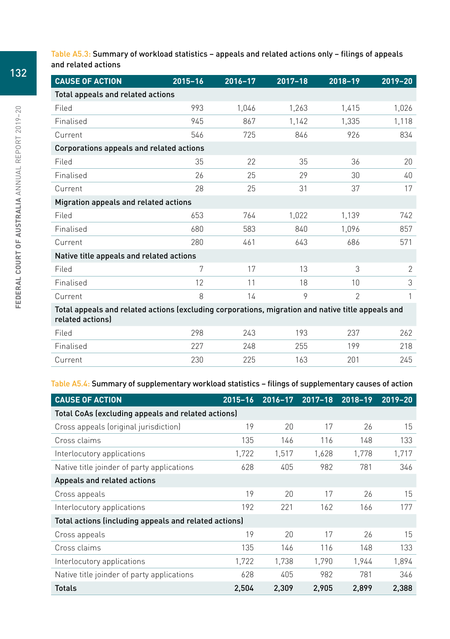Table A5.3: Summary of workload statistics – appeals and related actions only – filings of appeals and related actions

| <b>CAUSE OF ACTION</b>                                                                                                | $2015 - 16$ | 2016-17 | $2017 - 18$ | $2018 - 19$  | 2019-20 |  |  |  |
|-----------------------------------------------------------------------------------------------------------------------|-------------|---------|-------------|--------------|---------|--|--|--|
| Total appeals and related actions                                                                                     |             |         |             |              |         |  |  |  |
| Filed                                                                                                                 | 993         | 1.046   | 1,263       | 1,415        | 1,026   |  |  |  |
| Finalised                                                                                                             | 945         | 867     | 1,142       | 1,335        | 1,118   |  |  |  |
| Current                                                                                                               | 546         | 725     | 846         | 926          | 834     |  |  |  |
| Corporations appeals and related actions                                                                              |             |         |             |              |         |  |  |  |
| Filed                                                                                                                 | 35          | 22      | 35          | 36           | 20      |  |  |  |
| Finalised                                                                                                             | 26          | 25      | 29          | 30           | 40      |  |  |  |
| Current                                                                                                               | 28          | 25      | 31          | 37           | 17      |  |  |  |
| Migration appeals and related actions                                                                                 |             |         |             |              |         |  |  |  |
| Filed                                                                                                                 | 653         | 764     | 1,022       | 1,139        | 742     |  |  |  |
| Finalised                                                                                                             | 680         | 583     | 840         | 1.096        | 857     |  |  |  |
| Current                                                                                                               | 280         | 461     | 643         | 686          | 571     |  |  |  |
| Native title appeals and related actions                                                                              |             |         |             |              |         |  |  |  |
| Filed                                                                                                                 | 7           | 17      | 13          | 3            | 2       |  |  |  |
| Finalised                                                                                                             | 12          | 11      | 18          | 10           | 3       |  |  |  |
| Current                                                                                                               | 8           | 14      | 9           | $\mathbf{2}$ |         |  |  |  |
| Total appeals and related actions (excluding corporations, migration and native title appeals and<br>related actions) |             |         |             |              |         |  |  |  |
| Filed                                                                                                                 | 298         | 243     | 193         | 237          | 262     |  |  |  |
| Finalised                                                                                                             | 227         | 248     | 255         | 199          | 218     |  |  |  |
| Current                                                                                                               | 230         | 225     | 163         | 201          | 245     |  |  |  |

#### Table A5.4: Summary of supplementary workload statistics – filings of supplementary causes of action

| <b>CAUSE OF ACTION</b>                                | $2015 - 16$ | $2016 - 17$ | $2017 - 18$ | 2018-19 | $2019 - 20$ |  |  |  |
|-------------------------------------------------------|-------------|-------------|-------------|---------|-------------|--|--|--|
| Total CoAs (excluding appeals and related actions)    |             |             |             |         |             |  |  |  |
| Cross appeals (original jurisdiction)                 | 19          | 20          | 17          | 26      | 15          |  |  |  |
| Cross claims                                          | 135         | 146         | 116         | 148     | 133         |  |  |  |
| Interlocutory applications                            | 1,722       | 1,517       | 1,628       | 1,778   | 1,717       |  |  |  |
| Native title joinder of party applications            | 628         | 405         | 982         | 781     | 346         |  |  |  |
| Appeals and related actions                           |             |             |             |         |             |  |  |  |
| Cross appeals                                         | 19          | 20          | 17          | 26      | 15          |  |  |  |
| Interlocutory applications                            | 192         | 221         | 162         | 166     | 177         |  |  |  |
| Total actions (including appeals and related actions) |             |             |             |         |             |  |  |  |
| Cross appeals                                         | 19          | 20          | 17          | 26      | 15          |  |  |  |
| Cross claims                                          | 135         | 146         | 116         | 148     | 133         |  |  |  |
| Interlocutory applications                            | 1,722       | 1,738       | 1,790       | 1.944   | 1,894       |  |  |  |
| Native title joinder of party applications            | 628         | 405         | 982         | 781     | 346         |  |  |  |
| <b>Totals</b>                                         | 2,504       | 2,309       | 2,905       | 2,899   | 2,388       |  |  |  |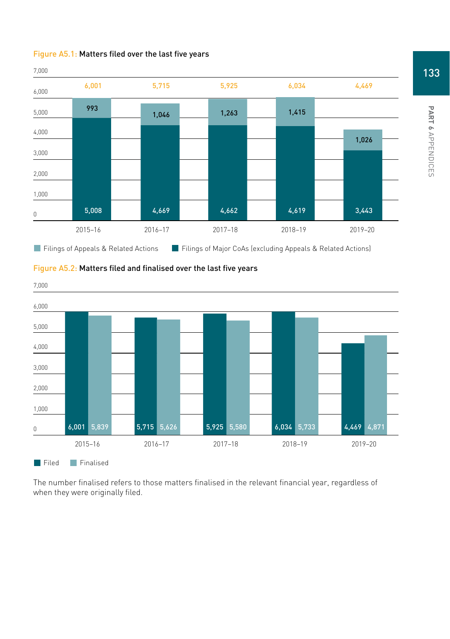





#### Figure A5.2: Matters filed and finalised over the last five years

The number finalised refers to those matters finalised in the relevant financial year, regardless of when they were originally filed.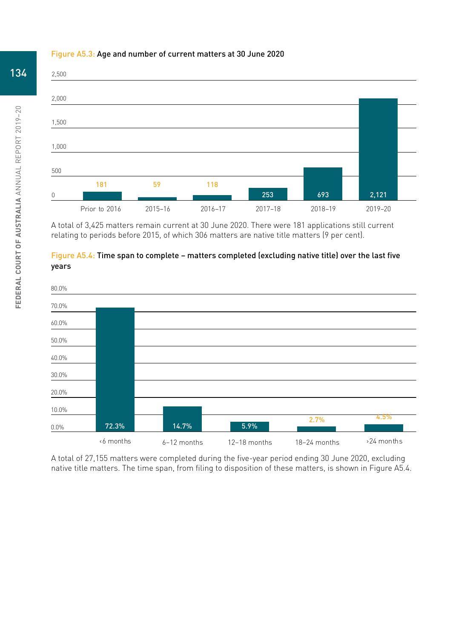#### Figure A5.3: Age and number of current matters at 30 June 2020



A total of 3,425 matters remain current at 30 June 2020. There were 181 applications still current relating to periods before 2015, of which 306 matters are native title matters (9 per cent).





A total of 27,155 matters were completed during the five-year period ending 30 June 2020, excluding native title matters. The time span, from filing to disposition of these matters, is shown in Figure A5.4.

# 134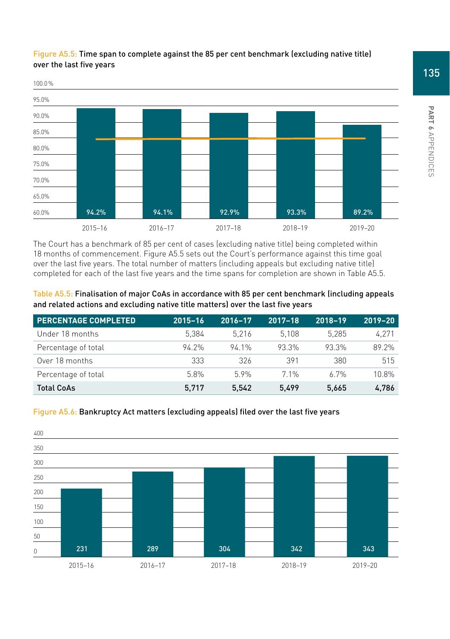

#### Figure A5.5: Time span to complete against the 85 per cent benchmark (excluding native title) over the last five years

The Court has a benchmark of 85 per cent of cases (excluding native title) being completed within 18 months of commencement. Figure A5.5 sets out the Court's performance against this time goal over the last five years. The total number of matters (including appeals but excluding native title) completed for each of the last five years and the time spans for completion are shown in Table A5.5.

Table A5.5: Finalisation of major CoAs in accordance with 85 per cent benchmark (including appeals and related actions and excluding native title matters) over the last five years

| <b>PERCENTAGE COMPLETED</b> | $2015 - 16$ | 2016-17 | $2017 - 18$ | $2018 - 19$ | $2019 - 20$ |
|-----------------------------|-------------|---------|-------------|-------------|-------------|
| Under 18 months             | 5.384       | 5.216   | 5.108       | 5.285       | 4.271       |
| Percentage of total         | 94 2%       | 94 1%   | 93.3%       | 93.3%       | 89 2%       |
| Over 18 months              | 333         | 326     | 391         | 380         | 515         |
| Percentage of total         | 58%         | 59%     | 71%         | 67%         | 10.8%       |
| <b>Total CoAs</b>           | 5.717       | 5.542   | 5.499       | 5.665       | 4,786       |





PART 6 APPENDICES Appendices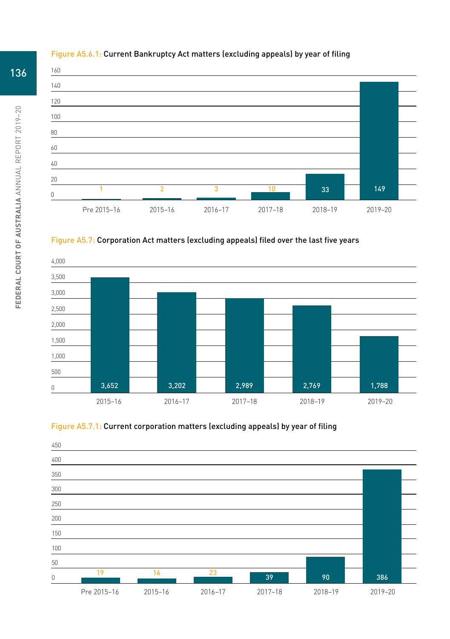

### Figure A5.6.1: Current Bankruptcy Act matters (excluding appeals) by year of filing







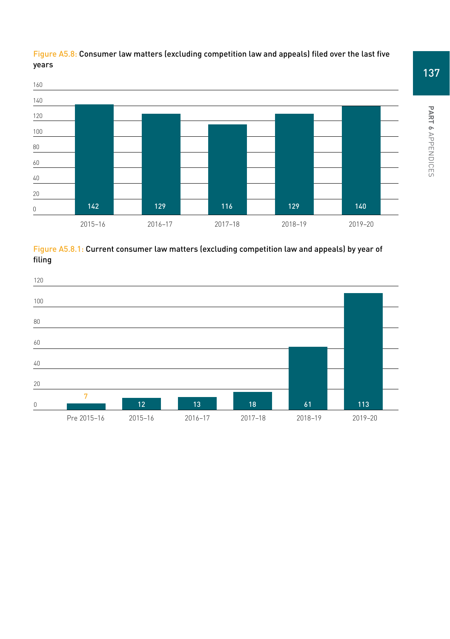

## Figure A5.8: Consumer law matters (excluding competition law and appeals) filed over the last five years



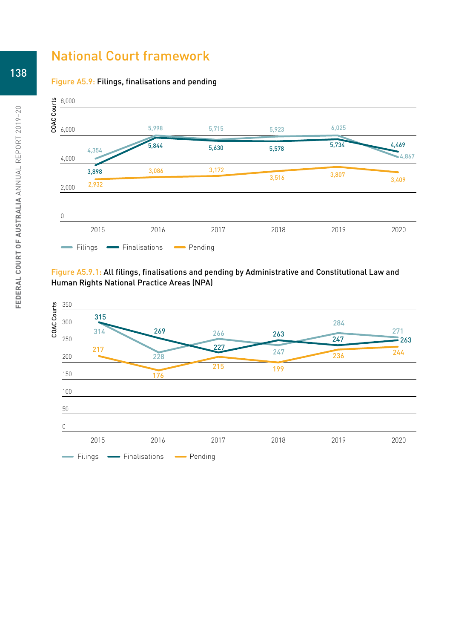## National Court framework





### Figure A5.9.1: All filings, finalisations and pending by Administrative and Constitutional Law and Human Rights National Practice Areas (NPA)

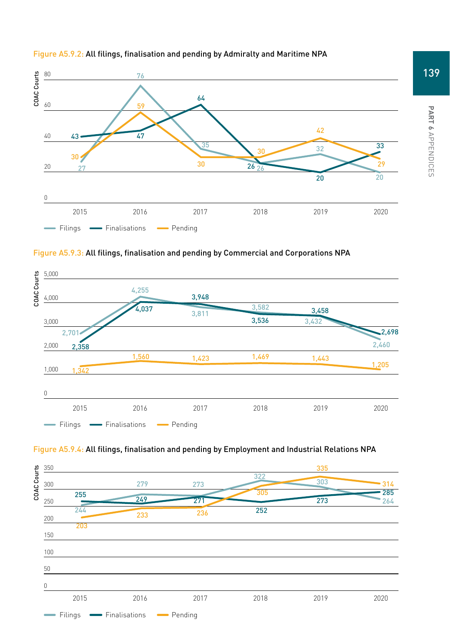

#### Figure A5.9.2: All filings, finalisation and pending by Admiralty and Maritime NPA







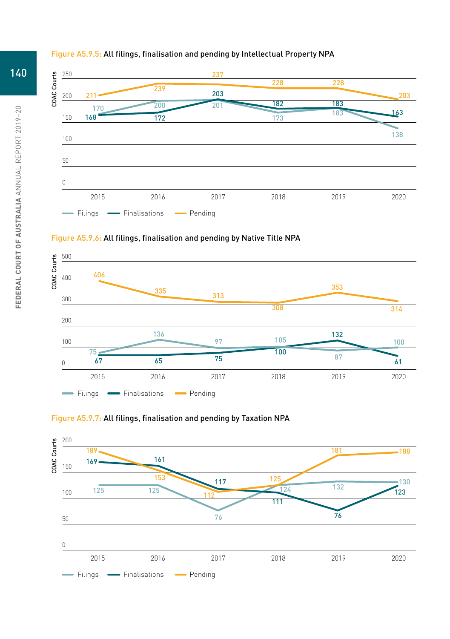